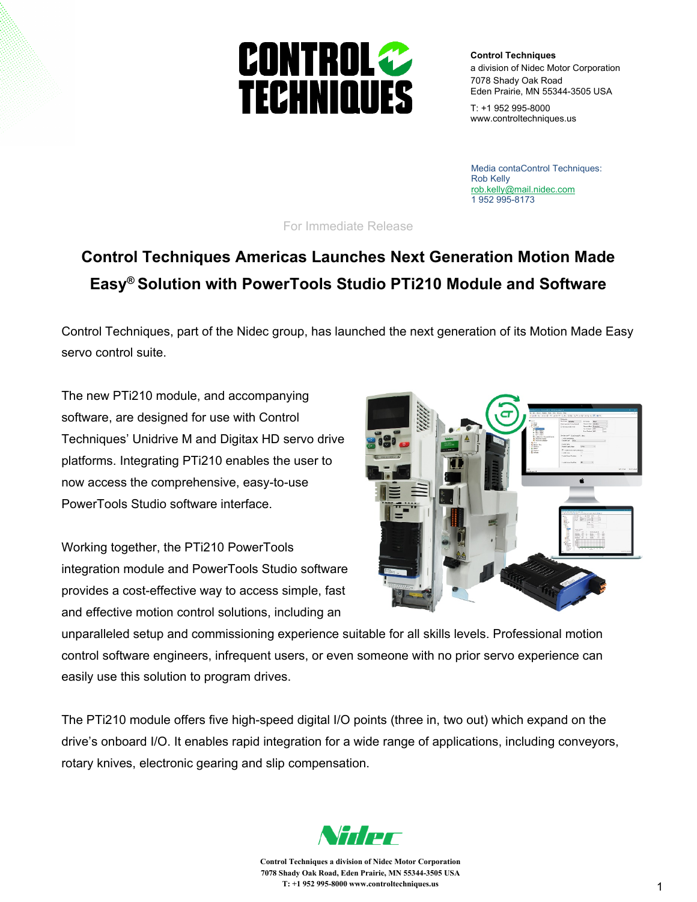## **CONTROL TECHNIQUES**

**Control Techniques** a division of Nidec Motor Corporation 7078 Shady Oak Road Eden Prairie, MN 55344-3505 USA

T: +1 952 995-8000 www.controltechniques.us

Media contaControl Techniques: Rob Kelly [rob.kelly@mail.nidec.com](mailto:chris.corfield@mail.nidec.com) 1 952 995-8173

For Immediate Release

## **Control Techniques Americas Launches Next Generation Motion Made Easy® Solution with PowerTools Studio PTi210 Module and Software**

Control Techniques, part of the Nidec group, has launched the next generation of its Motion Made Easy servo control suite.

The new PTi210 module, and accompanying software, are designed for use with Control Techniques' Unidrive M and Digitax HD servo drive platforms. Integrating PTi210 enables the user to now access the comprehensive, easy-to-use PowerTools Studio software interface.

Working together, the PTi210 PowerTools integration module and PowerTools Studio software provides a cost-effective way to access simple, fast and effective motion control solutions, including an



unparalleled setup and commissioning experience suitable for all skills levels. Professional motion control software engineers, infrequent users, or even someone with no prior servo experience can easily use this solution to program drives.

The PTi210 module offers five high-speed digital I/O points (three in, two out) which expand on the drive's onboard I/O. It enables rapid integration for a wide range of applications, including conveyors, rotary knives, electronic gearing and slip compensation.



**Control Techniques a division of Nidec Motor Corporation 7078 Shady Oak Road, Eden Prairie, MN 55344-3505 USA T: +1 952 995-8000 www.controltechniques.us**